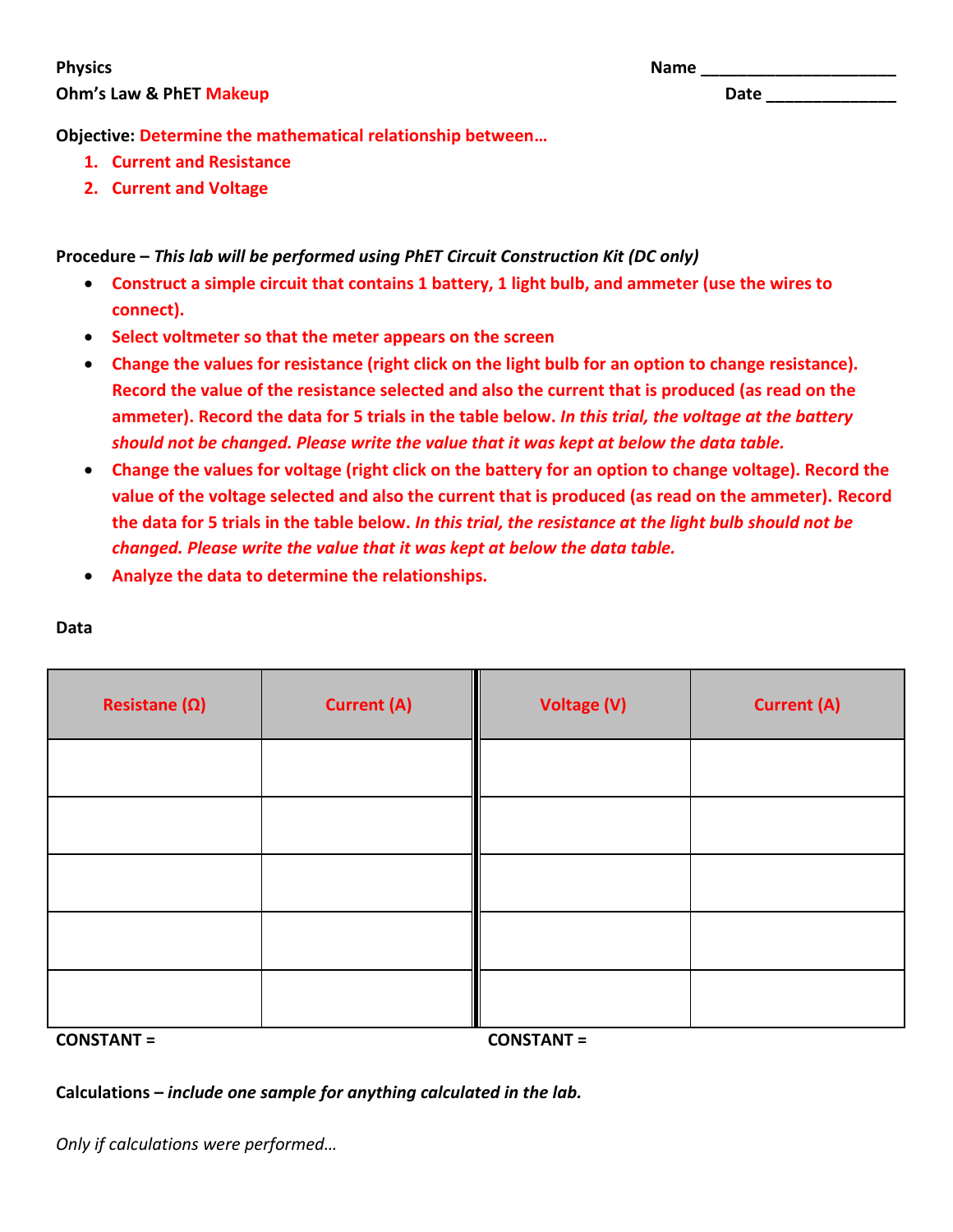## **Physics Name \_\_\_\_\_\_\_\_\_\_\_\_\_\_\_\_\_\_\_\_\_ Ohm's Law & PhET Makeup Date \_\_\_\_\_\_\_\_\_\_**

| ×<br>I |  | ۰,<br>× |
|--------|--|---------|
|--------|--|---------|

**Objective: Determine the mathematical relationship between…**

- **1. Current and Resistance**
- **2. Current and Voltage**

**Procedure –** *This lab will be performed using PhET Circuit Construction Kit (DC only)*

- **Construct a simple circuit that contains 1 battery, 1 light bulb, and ammeter (use the wires to connect).**
- **Select voltmeter so that the meter appears on the screen**
- **Change the values for resistance (right click on the light bulb for an option to change resistance). Record the value of the resistance selected and also the current that is produced (as read on the ammeter). Record the data for 5 trials in the table below.** *In this trial, the voltage at the battery should not be changed. Please write the value that it was kept at below the data table.*
- **Change the values for voltage (right click on the battery for an option to change voltage). Record the value of the voltage selected and also the current that is produced (as read on the ammeter). Record the data for 5 trials in the table below.** *In this trial, the resistance at the light bulb should not be changed. Please write the value that it was kept at below the data table.*
- **Analyze the data to determine the relationships.**

| Resistane $(\Omega)$ | <b>Current (A)</b> | <b>Voltage (V)</b> | <b>Current (A)</b> |
|----------------------|--------------------|--------------------|--------------------|
|                      |                    |                    |                    |
|                      |                    |                    |                    |
|                      |                    |                    |                    |
|                      |                    |                    |                    |
|                      |                    |                    |                    |

**Data**

**CONSTANT = CONSTANT =** 

**Calculations –** *include one sample for anything calculated in the lab.*

*Only if calculations were performed…*